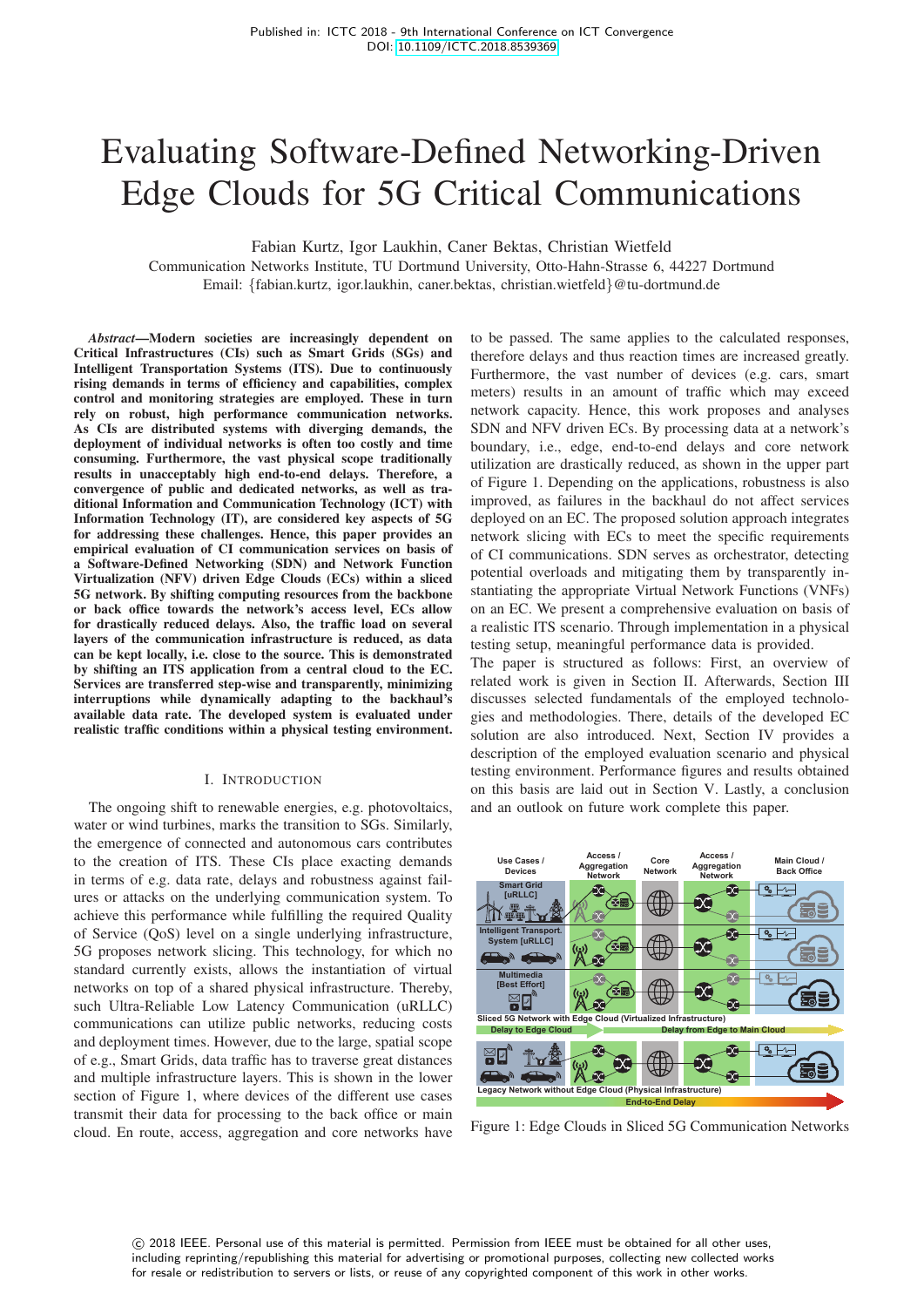# Evaluating Software-Defined Networking-Driven Edge Clouds for 5G Critical Communications

Fabian Kurtz, Igor Laukhin, Caner Bektas, Christian Wietfeld

Communication Networks Institute, TU Dortmund University, Otto-Hahn-Strasse 6, 44227 Dortmund Email: {fabian.kurtz, igor.laukhin, caner.bektas, christian.wietfeld}@tu-dortmund.de

*Abstract*—Modern societies are increasingly dependent on Critical Infrastructures (CIs) such as Smart Grids (SGs) and Intelligent Transportation Systems (ITS). Due to continuously rising demands in terms of efficiency and capabilities, complex control and monitoring strategies are employed. These in turn rely on robust, high performance communication networks. As CIs are distributed systems with diverging demands, the deployment of individual networks is often too costly and time consuming. Furthermore, the vast physical scope traditionally results in unacceptably high end-to-end delays. Therefore, a convergence of public and dedicated networks, as well as traditional Information and Communication Technology (ICT) with Information Technology (IT), are considered key aspects of 5G for addressing these challenges. Hence, this paper provides an empirical evaluation of CI communication services on basis of a Software-Defined Networking (SDN) and Network Function Virtualization (NFV) driven Edge Clouds (ECs) within a sliced 5G network. By shifting computing resources from the backbone or back office towards the network's access level, ECs allow for drastically reduced delays. Also, the traffic load on several layers of the communication infrastructure is reduced, as data can be kept locally, i.e. close to the source. This is demonstrated by shifting an ITS application from a central cloud to the EC. Services are transferred step-wise and transparently, minimizing interruptions while dynamically adapting to the backhaul's available data rate. The developed system is evaluated under realistic traffic conditions within a physical testing environment.

### I. INTRODUCTION

The ongoing shift to renewable energies, e.g. photovoltaics, water or wind turbines, marks the transition to SGs. Similarly, the emergence of connected and autonomous cars contributes to the creation of ITS. These CIs place exacting demands in terms of e.g. data rate, delays and robustness against failures or attacks on the underlying communication system. To achieve this performance while fulfilling the required Quality of Service (QoS) level on a single underlying infrastructure, 5G proposes network slicing. This technology, for which no standard currently exists, allows the instantiation of virtual networks on top of a shared physical infrastructure. Thereby, such Ultra-Reliable Low Latency Communication (uRLLC) communications can utilize public networks, reducing costs and deployment times. However, due to the large, spatial scope of e.g., Smart Grids, data traffic has to traverse great distances and multiple infrastructure layers. This is shown in the lower section of Figure 1, where devices of the different use cases transmit their data for processing to the back office or main cloud. En route, access, aggregation and core networks have

to be passed. The same applies to the calculated responses, therefore delays and thus reaction times are increased greatly. Furthermore, the vast number of devices (e.g. cars, smart meters) results in an amount of traffic which may exceed network capacity. Hence, this work proposes and analyses SDN and NFV driven ECs. By processing data at a network's boundary, i.e., edge, end-to-end delays and core network utilization are drastically reduced, as shown in the upper part of Figure 1. Depending on the applications, robustness is also improved, as failures in the backhaul do not affect services deployed on an EC. The proposed solution approach integrates network slicing with ECs to meet the specific requirements of CI communications. SDN serves as orchestrator, detecting potential overloads and mitigating them by transparently instantiating the appropriate Virtual Network Functions (VNFs) on an EC. We present a comprehensive evaluation on basis of a realistic ITS scenario. Through implementation in a physical testing setup, meaningful performance data is provided.

The paper is structured as follows: First, an overview of related work is given in Section II. Afterwards, Section III discusses selected fundamentals of the employed technologies and methodologies. There, details of the developed EC solution are also introduced. Next, Section IV provides a description of the employed evaluation scenario and physical testing environment. Performance figures and results obtained on this basis are laid out in Section V. Lastly, a conclusion and an outlook on future work complete this paper.



Figure 1: Edge Clouds in Sliced 5G Communication Networks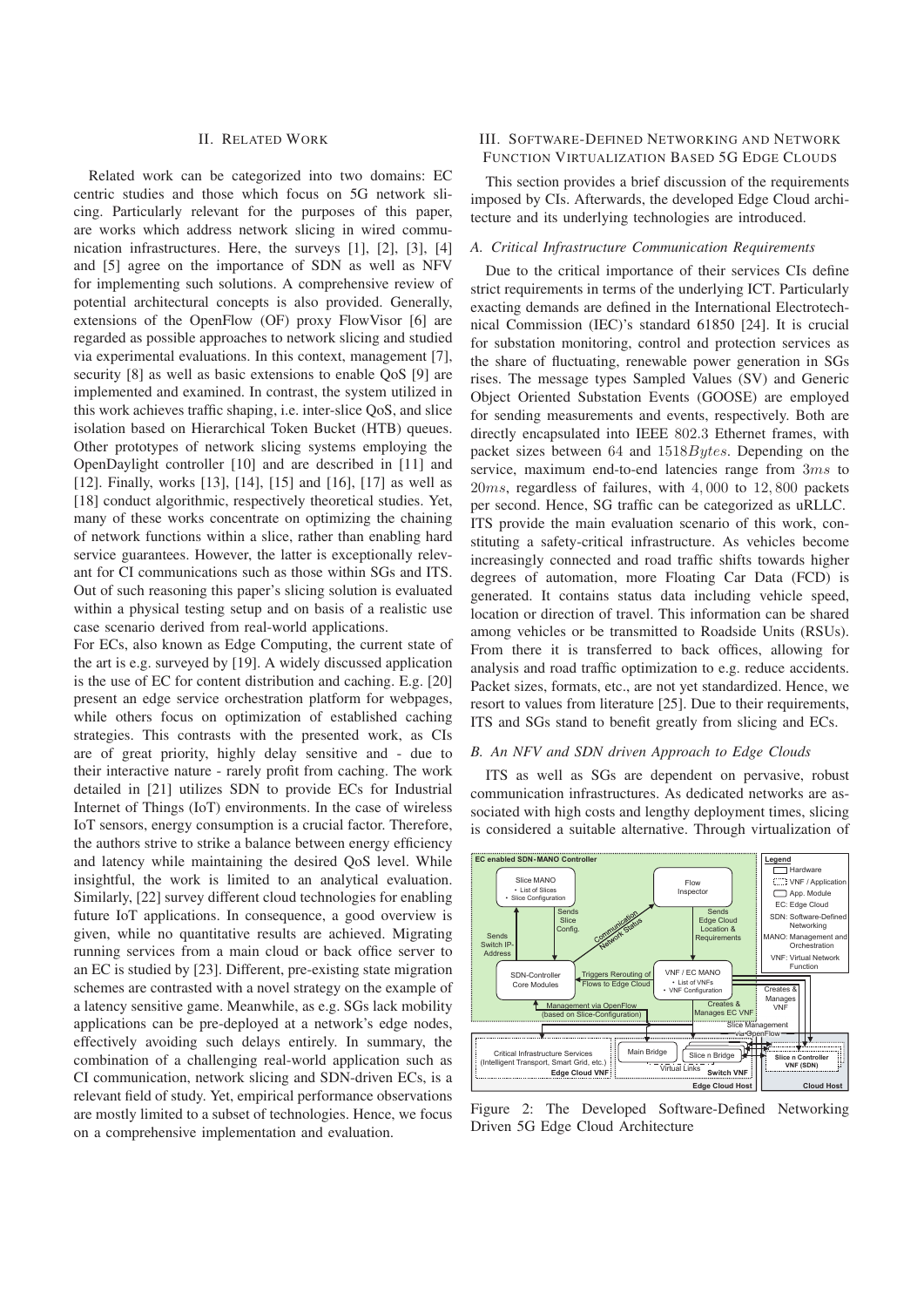#### II. RELATED WORK

Related work can be categorized into two domains: EC centric studies and those which focus on 5G network slicing. Particularly relevant for the purposes of this paper, are works which address network slicing in wired communication infrastructures. Here, the surveys [1], [2], [3], [4] and [5] agree on the importance of SDN as well as NFV for implementing such solutions. A comprehensive review of potential architectural concepts is also provided. Generally, extensions of the OpenFlow (OF) proxy FlowVisor [6] are regarded as possible approaches to network slicing and studied via experimental evaluations. In this context, management [7], security [8] as well as basic extensions to enable OoS [9] are implemented and examined. In contrast, the system utilized in this work achieves traffic shaping, i.e. inter-slice QoS, and slice isolation based on Hierarchical Token Bucket (HTB) queues. Other prototypes of network slicing systems employing the OpenDaylight controller [10] and are described in [11] and [12]. Finally, works [13], [14], [15] and [16], [17] as well as [18] conduct algorithmic, respectively theoretical studies. Yet, many of these works concentrate on optimizing the chaining of network functions within a slice, rather than enabling hard service guarantees. However, the latter is exceptionally relevant for CI communications such as those within SGs and ITS. Out of such reasoning this paper's slicing solution is evaluated within a physical testing setup and on basis of a realistic use case scenario derived from real-world applications.

For ECs, also known as Edge Computing, the current state of the art is e.g. surveyed by [19]. A widely discussed application is the use of EC for content distribution and caching. E.g. [20] present an edge service orchestration platform for webpages, while others focus on optimization of established caching strategies. This contrasts with the presented work, as CIs are of great priority, highly delay sensitive and - due to their interactive nature - rarely profit from caching. The work detailed in [21] utilizes SDN to provide ECs for Industrial Internet of Things (IoT) environments. In the case of wireless IoT sensors, energy consumption is a crucial factor. Therefore, the authors strive to strike a balance between energy efficiency and latency while maintaining the desired QoS level. While insightful, the work is limited to an analytical evaluation. Similarly, [22] survey different cloud technologies for enabling future IoT applications. In consequence, a good overview is given, while no quantitative results are achieved. Migrating running services from a main cloud or back office server to an EC is studied by [23]. Different, pre-existing state migration schemes are contrasted with a novel strategy on the example of a latency sensitive game. Meanwhile, as e.g. SGs lack mobility applications can be pre-deployed at a network's edge nodes, effectively avoiding such delays entirely. In summary, the combination of a challenging real-world application such as CI communication, network slicing and SDN-driven ECs, is a relevant field of study. Yet, empirical performance observations are mostly limited to a subset of technologies. Hence, we focus on a comprehensive implementation and evaluation.

## III. SOFTWARE-DEFINED NETWORKING AND NETWORK FUNCTION VIRTUALIZATION BASED 5G EDGE CLOUDS

This section provides a brief discussion of the requirements imposed by CIs. Afterwards, the developed Edge Cloud architecture and its underlying technologies are introduced.

### *A. Critical Infrastructure Communication Requirements*

Due to the critical importance of their services CIs define strict requirements in terms of the underlying ICT. Particularly exacting demands are defined in the International Electrotechnical Commission (IEC)'s standard 61850 [24]. It is crucial for substation monitoring, control and protection services as the share of fluctuating, renewable power generation in SGs rises. The message types Sampled Values (SV) and Generic Object Oriented Substation Events (GOOSE) are employed for sending measurements and events, respectively. Both are directly encapsulated into IEEE 802.3 Ethernet frames, with packet sizes between 64 and 1518Bytes. Depending on the service, maximum end-to-end latencies range from 3ms to  $20ms$ , regardless of failures, with  $4,000$  to  $12,800$  packets per second. Hence, SG traffic can be categorized as uRLLC. ITS provide the main evaluation scenario of this work, constituting a safety-critical infrastructure. As vehicles become increasingly connected and road traffic shifts towards higher degrees of automation, more Floating Car Data (FCD) is generated. It contains status data including vehicle speed, location or direction of travel. This information can be shared among vehicles or be transmitted to Roadside Units (RSUs). From there it is transferred to back offices, allowing for analysis and road traffic optimization to e.g. reduce accidents. Packet sizes, formats, etc., are not yet standardized. Hence, we resort to values from literature [25]. Due to their requirements, ITS and SGs stand to benefit greatly from slicing and ECs.

#### *B. An NFV and SDN driven Approach to Edge Clouds*

ITS as well as SGs are dependent on pervasive, robust communication infrastructures. As dedicated networks are associated with high costs and lengthy deployment times, slicing is considered a suitable alternative. Through virtualization of



Figure 2: The Developed Software-Defined Networking Driven 5G Edge Cloud Architecture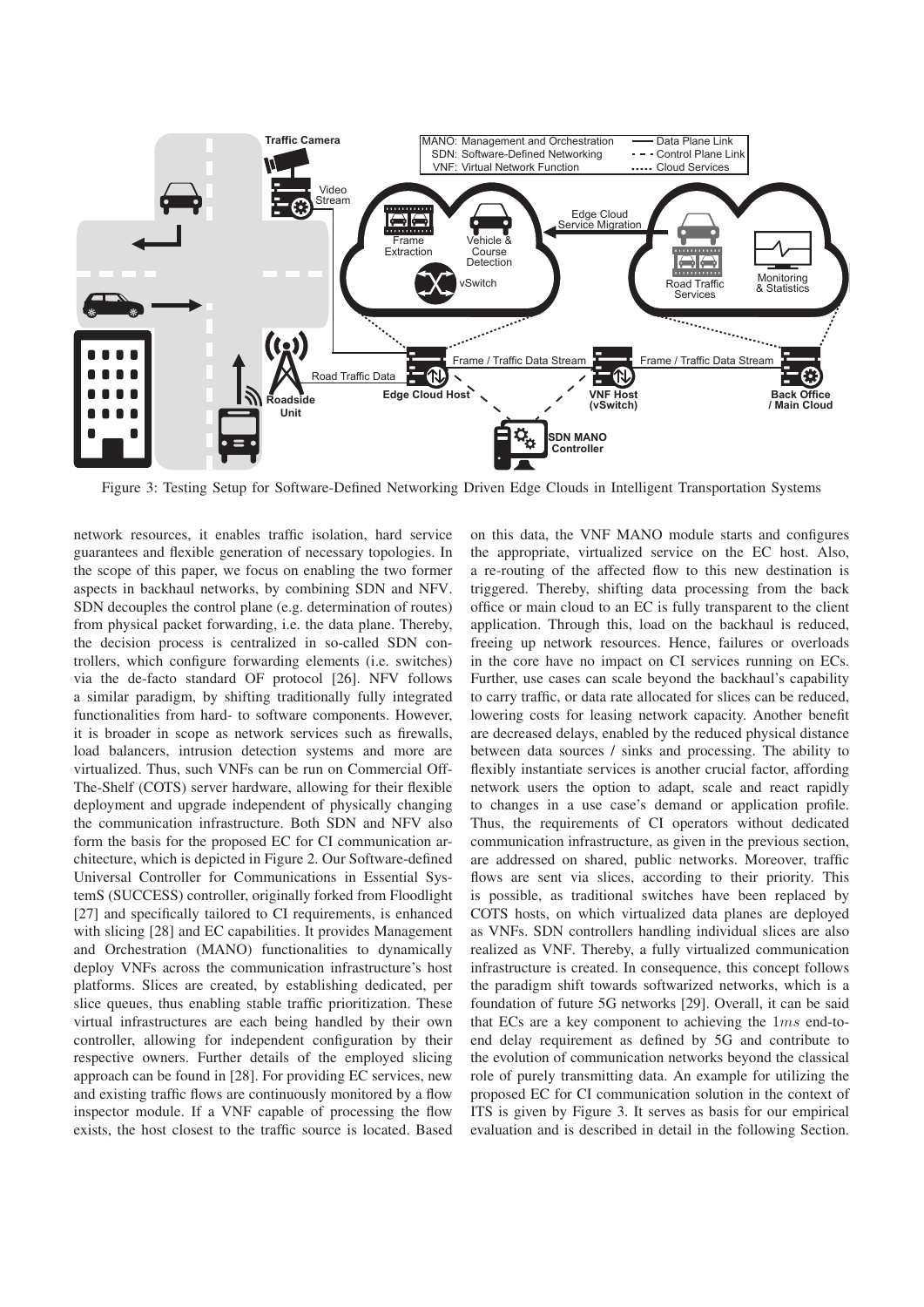

Figure 3: Testing Setup for Software-Defined Networking Driven Edge Clouds in Intelligent Transportation Systems

network resources, it enables traffic isolation, hard service guarantees and flexible generation of necessary topologies. In the scope of this paper, we focus on enabling the two former aspects in backhaul networks, by combining SDN and NFV. SDN decouples the control plane (e.g. determination of routes) from physical packet forwarding, i.e. the data plane. Thereby, the decision process is centralized in so-called SDN controllers, which configure forwarding elements (i.e. switches) via the de-facto standard OF protocol [26]. NFV follows a similar paradigm, by shifting traditionally fully integrated functionalities from hard- to software components. However, it is broader in scope as network services such as firewalls, load balancers, intrusion detection systems and more are virtualized. Thus, such VNFs can be run on Commercial Off-The-Shelf (COTS) server hardware, allowing for their flexible deployment and upgrade independent of physically changing the communication infrastructure. Both SDN and NFV also form the basis for the proposed EC for CI communication architecture, which is depicted in Figure 2. Our Software-defined Universal Controller for Communications in Essential SystemS (SUCCESS) controller, originally forked from Floodlight [27] and specifically tailored to CI requirements, is enhanced with slicing [28] and EC capabilities. It provides Management and Orchestration (MANO) functionalities to dynamically deploy VNFs across the communication infrastructure's host platforms. Slices are created, by establishing dedicated, per slice queues, thus enabling stable traffic prioritization. These virtual infrastructures are each being handled by their own controller, allowing for independent configuration by their respective owners. Further details of the employed slicing approach can be found in [28]. For providing EC services, new and existing traffic flows are continuously monitored by a flow inspector module. If a VNF capable of processing the flow exists, the host closest to the traffic source is located. Based

on this data, the VNF MANO module starts and configures the appropriate, virtualized service on the EC host. Also, a re-routing of the affected flow to this new destination is triggered. Thereby, shifting data processing from the back office or main cloud to an EC is fully transparent to the client application. Through this, load on the backhaul is reduced, freeing up network resources. Hence, failures or overloads in the core have no impact on CI services running on ECs. Further, use cases can scale beyond the backhaul's capability to carry traffic, or data rate allocated for slices can be reduced, lowering costs for leasing network capacity. Another benefit are decreased delays, enabled by the reduced physical distance between data sources / sinks and processing. The ability to flexibly instantiate services is another crucial factor, affording network users the option to adapt, scale and react rapidly to changes in a use case's demand or application profile. Thus, the requirements of CI operators without dedicated communication infrastructure, as given in the previous section, are addressed on shared, public networks. Moreover, traffic flows are sent via slices, according to their priority. This is possible, as traditional switches have been replaced by COTS hosts, on which virtualized data planes are deployed as VNFs. SDN controllers handling individual slices are also realized as VNF. Thereby, a fully virtualized communication infrastructure is created. In consequence, this concept follows the paradigm shift towards softwarized networks, which is a foundation of future 5G networks [29]. Overall, it can be said that ECs are a key component to achieving the 1ms end-toend delay requirement as defined by 5G and contribute to the evolution of communication networks beyond the classical role of purely transmitting data. An example for utilizing the proposed EC for CI communication solution in the context of ITS is given by Figure 3. It serves as basis for our empirical evaluation and is described in detail in the following Section.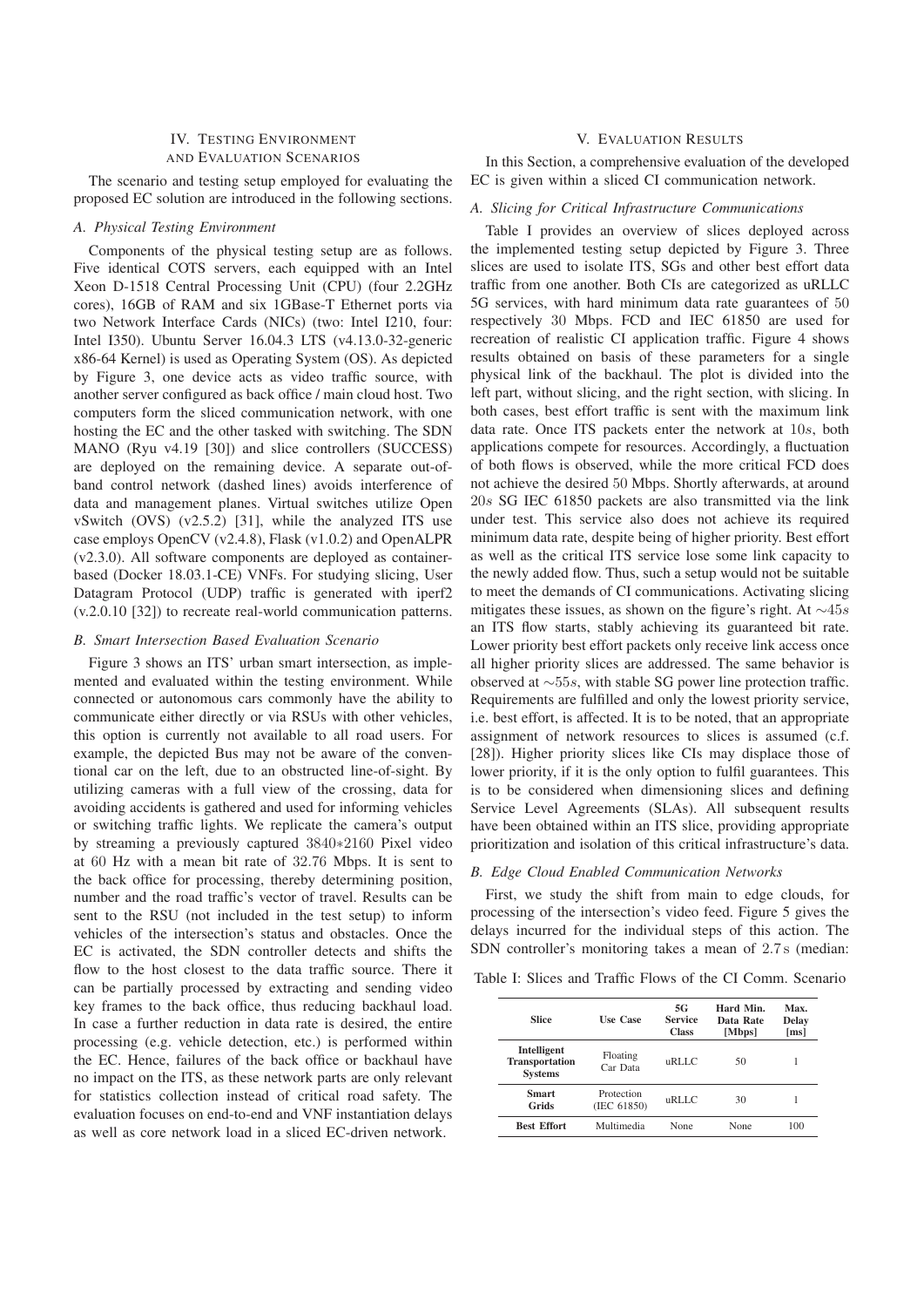# IV. TESTING ENVIRONMENT AND EVALUATION SCENARIOS

The scenario and testing setup employed for evaluating the proposed EC solution are introduced in the following sections.

## *A. Physical Testing Environment*

Components of the physical testing setup are as follows. Five identical COTS servers, each equipped with an Intel Xeon D-1518 Central Processing Unit (CPU) (four 2.2GHz cores), 16GB of RAM and six 1GBase-T Ethernet ports via two Network Interface Cards (NICs) (two: Intel I210, four: Intel I350). Ubuntu Server 16.04.3 LTS (v4.13.0-32-generic x86-64 Kernel) is used as Operating System (OS). As depicted by Figure 3, one device acts as video traffic source, with another server configured as back office / main cloud host. Two computers form the sliced communication network, with one hosting the EC and the other tasked with switching. The SDN MANO (Ryu v4.19 [30]) and slice controllers (SUCCESS) are deployed on the remaining device. A separate out-ofband control network (dashed lines) avoids interference of data and management planes. Virtual switches utilize Open vSwitch (OVS) (v2.5.2) [31], while the analyzed ITS use case employs OpenCV (v2.4.8), Flask (v1.0.2) and OpenALPR (v2.3.0). All software components are deployed as containerbased (Docker 18.03.1-CE) VNFs. For studying slicing, User Datagram Protocol (UDP) traffic is generated with iperf2 (v.2.0.10 [32]) to recreate real-world communication patterns.

## *B. Smart Intersection Based Evaluation Scenario*

Figure 3 shows an ITS' urban smart intersection, as implemented and evaluated within the testing environment. While connected or autonomous cars commonly have the ability to communicate either directly or via RSUs with other vehicles, this option is currently not available to all road users. For example, the depicted Bus may not be aware of the conventional car on the left, due to an obstructed line-of-sight. By utilizing cameras with a full view of the crossing, data for avoiding accidents is gathered and used for informing vehicles or switching traffic lights. We replicate the camera's output by streaming a previously captured 3840∗2160 Pixel video at 60 Hz with a mean bit rate of 32.76 Mbps. It is sent to the back office for processing, thereby determining position, number and the road traffic's vector of travel. Results can be sent to the RSU (not included in the test setup) to inform vehicles of the intersection's status and obstacles. Once the EC is activated, the SDN controller detects and shifts the flow to the host closest to the data traffic source. There it can be partially processed by extracting and sending video key frames to the back office, thus reducing backhaul load. In case a further reduction in data rate is desired, the entire processing (e.g. vehicle detection, etc.) is performed within the EC. Hence, failures of the back office or backhaul have no impact on the ITS, as these network parts are only relevant for statistics collection instead of critical road safety. The evaluation focuses on end-to-end and VNF instantiation delays as well as core network load in a sliced EC-driven network.

## V. EVALUATION RESULTS

In this Section, a comprehensive evaluation of the developed EC is given within a sliced CI communication network.

#### *A. Slicing for Critical Infrastructure Communications*

Table I provides an overview of slices deployed across the implemented testing setup depicted by Figure 3. Three slices are used to isolate ITS, SGs and other best effort data traffic from one another. Both CIs are categorized as uRLLC 5G services, with hard minimum data rate guarantees of 50 respectively 30 Mbps. FCD and IEC 61850 are used for recreation of realistic CI application traffic. Figure 4 shows results obtained on basis of these parameters for a single physical link of the backhaul. The plot is divided into the left part, without slicing, and the right section, with slicing. In both cases, best effort traffic is sent with the maximum link data rate. Once ITS packets enter the network at 10s, both applications compete for resources. Accordingly, a fluctuation of both flows is observed, while the more critical FCD does not achieve the desired 50 Mbps. Shortly afterwards, at around 20s SG IEC 61850 packets are also transmitted via the link under test. This service also does not achieve its required minimum data rate, despite being of higher priority. Best effort as well as the critical ITS service lose some link capacity to the newly added flow. Thus, such a setup would not be suitable to meet the demands of CI communications. Activating slicing mitigates these issues, as shown on the figure's right. At  $\sim$ 45s an ITS flow starts, stably achieving its guaranteed bit rate. Lower priority best effort packets only receive link access once all higher priority slices are addressed. The same behavior is observed at ∼55s, with stable SG power line protection traffic. Requirements are fulfilled and only the lowest priority service, i.e. best effort, is affected. It is to be noted, that an appropriate assignment of network resources to slices is assumed (c.f. [28]). Higher priority slices like CIs may displace those of lower priority, if it is the only option to fulfil guarantees. This is to be considered when dimensioning slices and defining Service Level Agreements (SLAs). All subsequent results have been obtained within an ITS slice, providing appropriate prioritization and isolation of this critical infrastructure's data.

#### *B. Edge Cloud Enabled Communication Networks*

First, we study the shift from main to edge clouds, for processing of the intersection's video feed. Figure 5 gives the delays incurred for the individual steps of this action. The SDN controller's monitoring takes a mean of 2.7 s (median:

Table I: Slices and Traffic Flows of the CI Comm. Scenario

| <b>Slice</b>                                    | <b>Use Case</b>           | 5G<br><b>Service</b><br><b>Class</b> | Hard Min.<br>Data Rate<br>[Mbps] | Max.<br>Delay<br>[ms] |
|-------------------------------------------------|---------------------------|--------------------------------------|----------------------------------|-----------------------|
| Intelligent<br>Transportation<br><b>Systems</b> | Floating<br>Car Data      | uRLLC                                | 50                               | 1                     |
| Smart<br>Grids                                  | Protection<br>(IEC 61850) | uRLLC                                | 30                               | 1                     |
| <b>Best Effort</b>                              | Multimedia                | <b>None</b>                          | None                             | 100                   |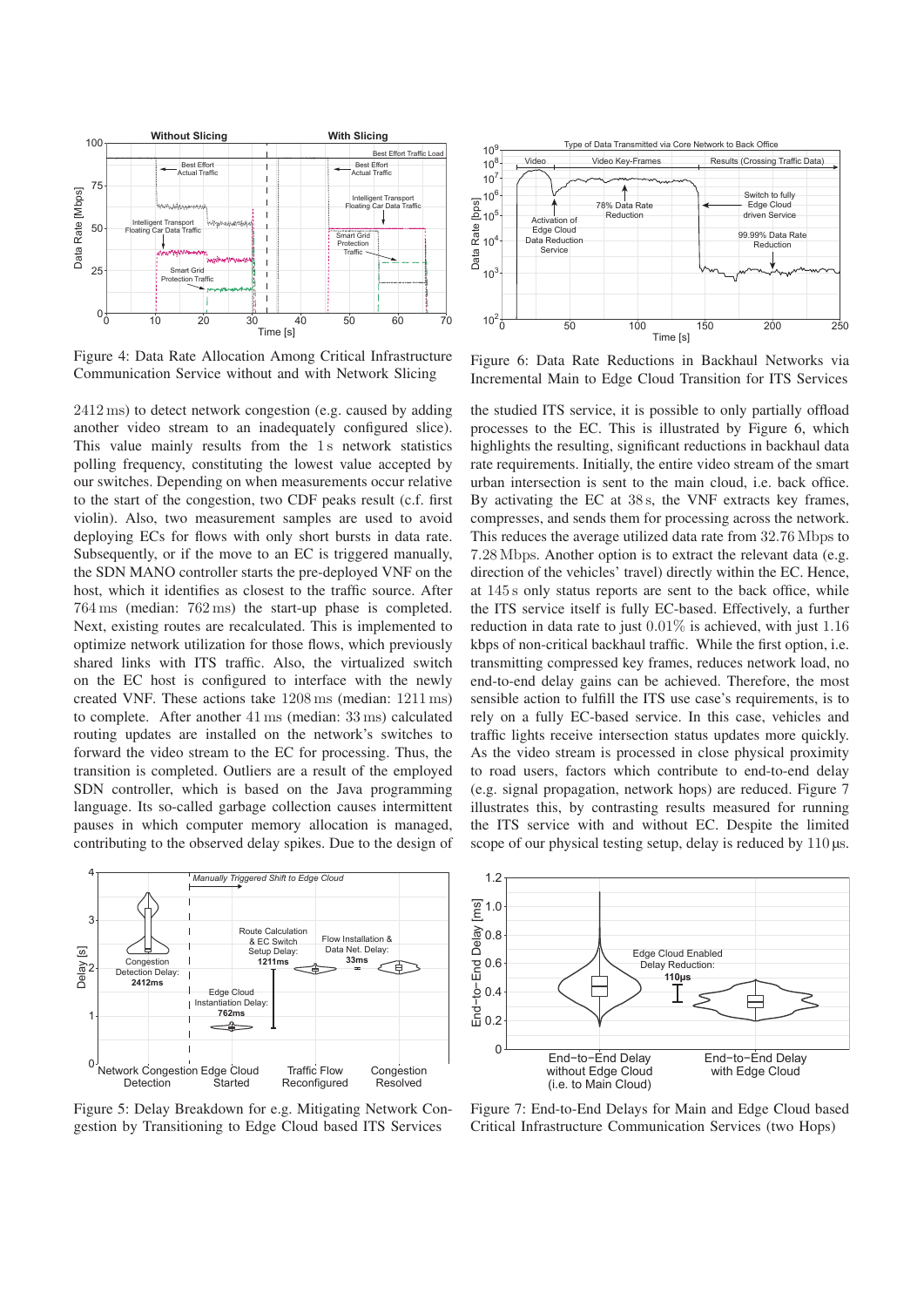

Figure 4: Data Rate Allocation Among Critical Infrastructure Communication Service without and with Network Slicing

2412 ms) to detect network congestion (e.g. caused by adding another video stream to an inadequately configured slice). This value mainly results from the 1s network statistics polling frequency, constituting the lowest value accepted by our switches. Depending on when measurements occur relative to the start of the congestion, two CDF peaks result (c.f. first violin). Also, two measurement samples are used to avoid deploying ECs for flows with only short bursts in data rate. Subsequently, or if the move to an EC is triggered manually. the SDN MANO controller starts the pre-deployed VNF on the host, which it identifies as closest to the traffic source. After 764 ms (median: 762 ms) the start-up phase is completed. Next, existing routes are recalculated. This is implemented to optimize network utilization for those flows, which previously shared links with ITS traffic. Also, the virtualized switch on the EC host is configured to interface with the newly created VNF. These actions take 1208 ms (median: 1211 ms) to complete. After another 41 ms (median: 33 ms) calculated routing updates are installed on the network's switches to forward the video stream to the EC for processing. Thus, the transition is completed. Outliers are a result of the employed SDN controller, which is based on the Java programming language. Its so-called garbage collection causes intermittent pauses in which computer memory allocation is managed, contributing to the observed delay spikes. Due to the design of



Figure 5: Delay Breakdown for e.g. Mitigating Network Congestion by Transitioning to Edge Cloud based ITS Services



Figure 6: Data Rate Reductions in Backhaul Networks via Incremental Main to Edge Cloud Transition for ITS Services

the studied ITS service, it is possible to only partially offload processes to the EC. This is illustrated by Figure 6, which highlights the resulting, significant reductions in backhaul data rate requirements. Initially, the entire video stream of the smart urban intersection is sent to the main cloud, i.e. back office. By activating the EC at 38 s, the VNF extracts key frames, compresses, and sends them for processing across the network. This reduces the average utilized data rate from 32.76 Mbps to 7.28 Mbps. Another option is to extract the relevant data (e.g. direction of the vehicles' travel) directly within the EC. Hence, at 145 s only status reports are sent to the back office, while the ITS service itself is fully EC-based. Effectively, a further reduction in data rate to just 0.01% is achieved, with just 1.16 kbps of non-critical backhaul traffic. While the first option, i.e. transmitting compressed key frames, reduces network load, no end-to-end delay gains can be achieved. Therefore, the most sensible action to fulfill the ITS use case's requirements, is to rely on a fully EC-based service. In this case, vehicles and traffic lights receive intersection status updates more quickly. As the video stream is processed in close physical proximity to road users, factors which contribute to end-to-end delay (e.g. signal propagation, network hops) are reduced. Figure 7 illustrates this, by contrasting results measured for running the ITS service with and without EC. Despite the limited scope of our physical testing setup, delay is reduced by 110 μs.



Figure 7: End-to-End Delays for Main and Edge Cloud based Critical Infrastructure Communication Services (two Hops)